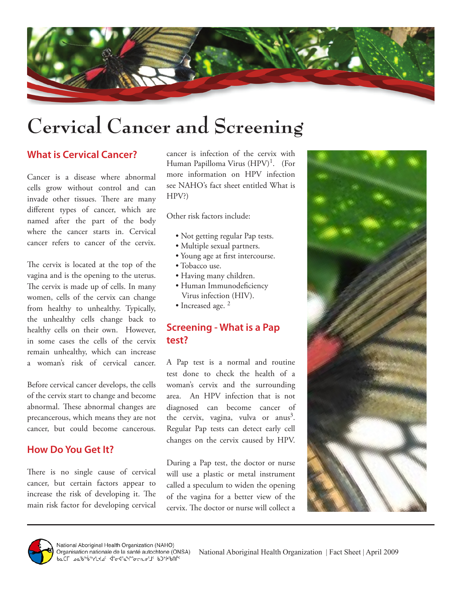

# **Cervical Cancer and Screening**

### **What is Cervical Cancer?**

Cancer is a disease where abnormal cells grow without control and can invade other tissues. There are many different types of cancer, which are named after the part of the body where the cancer starts in. Cervical cancer refers to cancer of the cervix.

The cervix is located at the top of the vagina and is the opening to the uterus. The cervix is made up of cells. In many women, cells of the cervix can change from healthy to unhealthy. Typically, the unhealthy cells change back to healthy cells on their own. However, in some cases the cells of the cervix remain unhealthy, which can increase a woman's risk of cervical cancer.

Before cervical cancer develops, the cells of the cervix start to change and become abnormal. These abnormal changes are precancerous, which means they are not cancer, but could become cancerous.

#### **How Do You Get It?**

There is no single cause of cervical cancer, but certain factors appear to increase the risk of developing it. The main risk factor for developing cervical

cancer is infection of the cervix with Human Papilloma Virus  $(HPV)^1$ . (For more information on HPV infection see NAHO's fact sheet entitled What is HPV?)

Other risk factors include:

- Not getting regular Pap tests.
- Multiple sexual partners.
- Young age at first intercourse.
- Tobacco use.
- Having many children.
- Human Immunodeficiency Virus infection (HIV).
- Increased age.<sup>2</sup>

## **Screening - What is a Pap test?**

A Pap test is a normal and routine test done to check the health of a woman's cervix and the surrounding area. An HPV infection that is not diagnosed can become cancer of the cervix, vagina, vulva or anus<sup>3</sup>. Regular Pap tests can detect early cell changes on the cervix caused by HPV.

During a Pap test, the doctor or nurse will use a plastic or metal instrument called a speculum to widen the opening of the vagina for a better view of the cervix. The doctor or nurse will collect a